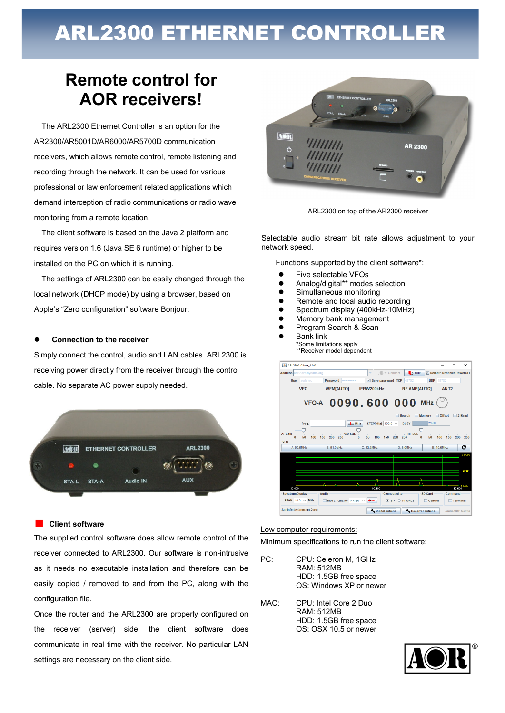# ARL2300 ETHERNET CONTROLLER

## **Remote control for AOR receivers!**

The ARL2300 Ethernet Controller is an option for the AR2300/AR5001D/AR6000/AR5700D communication receivers, which allows remote control, remote listening and recording through the network. It can be used for various professional or law enforcement related applications which demand interception of radio communications or radio wave monitoring from a remote location.

The client software is based on the Java 2 platform and requires version 1.6 (Java SE 6 runtime) or higher to be installed on the PC on which it is running.

The settings of ARL2300 can be easily changed through the local network (DHCP mode) by using a browser, based on Apple's "Zero configuration" software Bonjour.

#### **Connection to the receiver**

Simply connect the control, audio and LAN cables. ARL2300 is receiving power directly from the receiver through the control cable. No separate AC power supply needed.



#### ■ **Client software**

The supplied control software does allow remote control of the receiver connected to ARL2300. Our software is non-intrusive as it needs no executable installation and therefore can be easily copied / removed to and from the PC, along with the configuration file.

Once the router and the ARL2300 are properly configured on the receiver (server) side, the client software does communicate in real time with the receiver. No particular LAN settings are necessary on the client side.





Selectable audio stream bit rate allows adjustment to your network speed.

Functions supported by the client software\*:

- Five selectable VFOs
- Analog/digital\*\* modes selection
- **•** Simultaneous monitoring
- $\bullet$  Remote and local audio recording<br> $\bullet$  Spectrum display (400kHz-10MHz
- Spectrum display (400kHz-10MHz)<br>● Memory bank management
- Memory bank management
- **•** Program Search & Scan
- Bank link \*Some limitations apply \*\*Receiver model dependent

| <b>Address</b> aor-nara.dyndns.org |                                                                          |          | $\overline{\phantom{a}}$            | Connect                                                                                     | <b>D</b> -S Quit    |                  | Remote Receiver PowerOFF |                                |
|------------------------------------|--------------------------------------------------------------------------|----------|-------------------------------------|---------------------------------------------------------------------------------------------|---------------------|------------------|--------------------------|--------------------------------|
|                                    |                                                                          |          |                                     |                                                                                             |                     |                  |                          |                                |
| <b>User</b> aortokyo               | Password <b>Decession</b>                                                |          |                                     | $\triangleright$ Save password TCP 48752                                                    |                     | <b>UDP</b> 48752 |                          |                                |
| <b>VFO</b>                         | <b>WFM[AUTO]</b>                                                         |          | IFBW200kHz                          |                                                                                             | <b>RF AMP[AUTO]</b> |                  | ANT <sub>2</sub>         |                                |
|                                    | VFO-A 0090, 600 000 MHz $($                                              |          |                                     |                                                                                             | <b>Search</b>       | <b>Memory</b>    | <b>Offset</b>            |                                |
|                                    |                                                                          |          |                                     |                                                                                             | <b>BUSY</b>         | 73dB             |                          | 2-Band                         |
| Freq.                              |                                                                          | mins MHZ |                                     | STEP[kHz] $100.0~\vee$                                                                      |                     |                  |                          |                                |
|                                    |                                                                          |          |                                     |                                                                                             |                     |                  |                          |                                |
| 50<br>n<br>100<br>A: 90.6MHz       | providence procedure operating<br>150<br>200<br>250<br><b>B: 91.9MHz</b> |          | 50<br>$\Omega$<br>100<br>C: 93.3MHz | VIU SQL in the company of the property HF SQL in the property property of the<br>150<br>200 | 250<br>$D: 5.0$ MHz | 50<br>n          | 100<br>150<br>E: 10.0MHz | 200                            |
|                                    |                                                                          |          |                                     |                                                                                             |                     |                  |                          |                                |
|                                    |                                                                          |          |                                     |                                                                                             |                     |                  |                          |                                |
|                                    |                                                                          |          |                                     |                                                                                             |                     |                  |                          |                                |
| <b>AF Gain</b><br><b>VFO</b>       |                                                                          |          |                                     |                                                                                             |                     |                  |                          |                                |
|                                    |                                                                          |          |                                     |                                                                                             |                     |                  |                          | 250<br>c<br>$+10dE$<br>$-50dB$ |
|                                    |                                                                          |          |                                     |                                                                                             |                     |                  |                          |                                |
| 85,600<br><b>SpectrumDisplay</b>   | <b>Audio</b>                                                             |          | 90,600                              | <b>Connected to</b>                                                                         |                     | SD Card          | Command                  | $-110dB$<br>95.600             |

#### Low computer requirements:

Minimum specifications to run the client software:

- PC: CPU: Celeron M, 1GHz RAM: 512MB HDD: 1.5GB free space OS: Windows XP or newer
- MAC: CPU: Intel Core 2 Duo RAM: 512MB HDD: 1.5GB free space OS: OSX 10.5 or newer